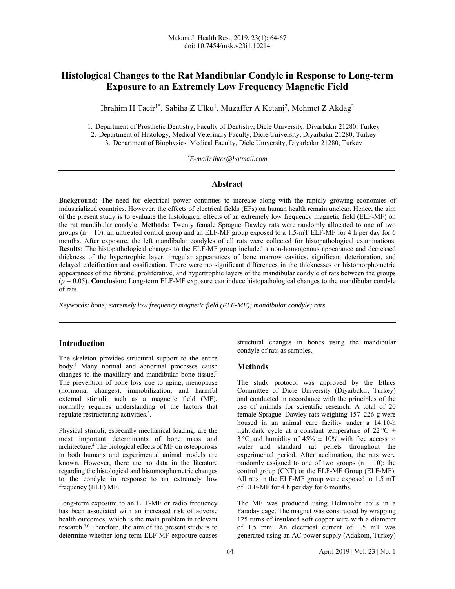# **Histological Changes to the Rat Mandibular Condyle in Response to Long-term Exposure to an Extremely Low Frequency Magnetic Field**

Ibrahim H Tacir<sup>1\*</sup>, Sabiha Z Ulku<sup>1</sup>, Muzaffer A Ketani<sup>2</sup>, Mehmet Z Akdag<sup>3</sup>

1. Department of Prosthetic Dentistry, Faculty of Dentistry, Dicle Unıversity, Diyarbakır 21280, Turkey 2. Department of Histology, Medical Veterinary Faculty, Dicle University, Diyarbakır 21280, Turkey

3. Department of Biophysics, Medical Faculty, Dicle Unıversity, Diyarbakır 21280, Turkey

*\* E-mail: ihtcr@hotmail.com* 

## **Abstract**

**Background:** The need for electrical power continues to increase along with the rapidly growing economies of industrialized countries. However, the effects of electrical fields (EFs) on human health remain unclear. Hence, the aim of the present study is to evaluate the histological effects of an extremely low frequency magnetic field (ELF-MF) on the rat mandibular condyle. **Methods**: Twenty female Sprague–Dawley rats were randomly allocated to one of two groups ( $n = 10$ ): an untreated control group and an ELF-MF group exposed to a 1.5-mT ELF-MF for 4 h per day for 6 months. After exposure, the left mandibular condyles of all rats were collected for histopathological examinations. **Results**: The histopathological changes to the ELF-MF group included a non-homogenous appearance and decreased thickness of the hypertrophic layer, irregular appearances of bone marrow cavities, significant deterioration, and delayed calcification and ossification. There were no significant differences in the thicknesses or histomorphometric appearances of the fibrotic, proliferative, and hypertrophic layers of the mandibular condyle of rats between the groups (*p* = 0.05). **Conclusion**: Long-term ELF-MF exposure can induce histopathological changes to the mandibular condyle of rats*.*

*Keywords: bone; extremely low frequency magnetic field (ELF-MF); mandibular condyle; rats* 

## **Introduction**

The skeleton provides structural support to the entire body.1 Many normal and abnormal processes cause changes to the maxillary and mandibular bone tissue.<sup>2</sup> The prevention of bone loss due to aging, menopause (hormonal changes), immobilization, and harmful external stimuli, such as a magnetic field (MF), normally requires understanding of the factors that regulate restructuring activities.3 *.* 

Physical stimuli, especially mechanical loading, are the most important determinants of bone mass and architecture.4 The biological effects of MF on osteoporosis in both humans and experimental animal models are known. However, there are no data in the literature regarding the histological and histomorphometric changes to the condyle in response to an extremely low frequency (ELF) MF.

Long-term exposure to an ELF-MF or radio frequency has been associated with an increased risk of adverse health outcomes, which is the main problem in relevant research.5,6 Therefore, the aim of the present study is to determine whether long-term ELF-MF exposure causes structural changes in bones using the mandibular condyle of rats as samples.

### **Methods**

The study protocol was approved by the Ethics Committee of Dicle University (Diyarbakır, Turkey) and conducted in accordance with the principles of the use of animals for scientific research. A total of 20 female Sprague–Dawley rats weighing 157–226 g were housed in an animal care facility under a 14:10-h light:dark cycle at a constant temperature of 22 °C  $\pm$  $3^{\circ}$ C and humidity of  $45\% \pm 10\%$  with free access to water and standard rat pellets throughout the experimental period. After acclimation, the rats were randomly assigned to one of two groups  $(n = 10)$ : the control group (CNT) or the ELF-MF Group (ELF-MF). All rats in the ELF-MF group were exposed to 1.5 mT of ELF-MF for 4 h per day for 6 months.

The MF was produced using Helmholtz coils in a Faraday cage. The magnet was constructed by wrapping 125 turns of insulated soft copper wire with a diameter of 1.5 mm. An electrical current of 1.5 mT was generated using an AC power supply (Adakom, Turkey)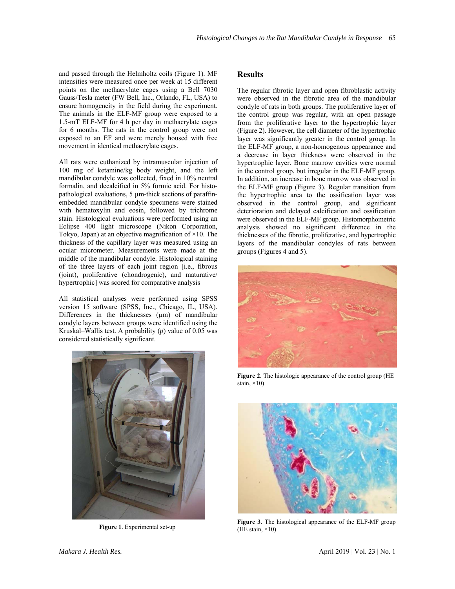and passed through the Helmholtz coils (Figure 1). MF intensities were measured once per week at 15 different points on the methacrylate cages using a Bell 7030 Gauss/Tesla meter (FW Bell, Inc., Orlando, FL, USA) to ensure homogeneity in the field during the experiment. The animals in the ELF-MF group were exposed to a 1.5-mT ELF-MF for 4 h per day in methacrylate cages for 6 months. The rats in the control group were not exposed to an EF and were merely housed with free movement in identical methacrylate cages.

All rats were euthanized by intramuscular injection of 100 mg of ketamine/kg body weight, and the left mandibular condyle was collected, fixed in 10% neutral formalin, and decalcified in 5% formic acid. For histopathological evaluations, 5 um-thick sections of paraffinembedded mandibular condyle specimens were stained with hematoxylin and eosin, followed by trichrome stain. Histological evaluations were performed using an Eclipse 400 light microscope (Nikon Corporation, Tokyo, Japan) at an objective magnification of  $\times$ 10. The thickness of the capillary layer was measured using an ocular micrometer. Measurements were made at the middle of the mandibular condyle. Histological staining of the three layers of each joint region [i.e., fibrous (joint), proliferative (chondrogenic), and maturative/ hypertrophic] was scored for comparative analysis

All statistical analyses were performed using SPSS version 15 software (SPSS, Inc., Chicago, IL, USA). Differences in the thicknesses (µm) of mandibular condyle layers between groups were identified using the Kruskal–Wallis test. A probability (*p*) value of 0.05 was considered statistically significant.



**Figure 1**. Experimental set-up

# **Results**

The regular fibrotic layer and open fibroblastic activity were observed in the fibrotic area of the mandibular condyle of rats in both groups. The proliferative layer of the control group was regular, with an open passage from the proliferative layer to the hypertrophic layer (Figure 2). However, the cell diameter of the hypertrophic layer was significantly greater in the control group. In the ELF-MF group, a non-homogenous appearance and a decrease in layer thickness were observed in the hypertrophic layer. Bone marrow cavities were normal in the control group, but irregular in the ELF-MF group. In addition, an increase in bone marrow was observed in the ELF-MF group (Figure 3). Regular transition from the hypertrophic area to the ossification layer was observed in the control group, and significant deterioration and delayed calcification and ossification were observed in the ELF-MF group. Histomorphometric analysis showed no significant difference in the thicknesses of the fibrotic, proliferative, and hypertrophic layers of the mandibular condyles of rats between groups (Figures 4 and 5).



**Figure 2**. The histologic appearance of the control group (HE stain,  $\times$ 10)



**Figure 3**. The histological appearance of the ELF-MF group (HE stain,  $\times$ 10)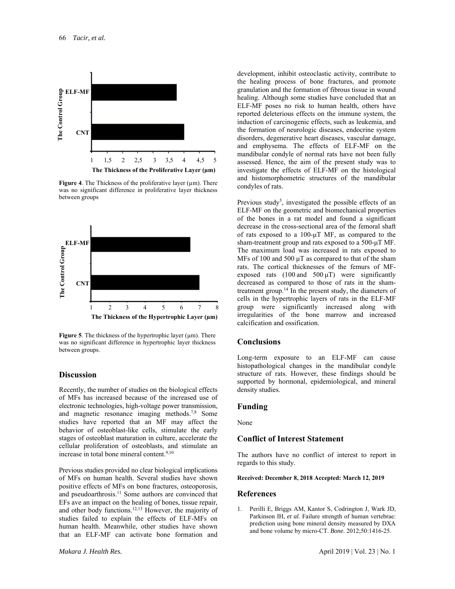

**Figure 4.** The Thickness of the proliferative layer  $(\mu m)$ . There was no significant difference in proliferative layer thickness between groups



Figure 5. The thickness of the hypertrophic layer ( $\mu$ m). There was no significant difference in hypertrophic layer thickness between groups.

#### **Discussion**

Recently, the number of studies on the biological effects of MFs has increased because of the increased use of electronic technologies, high-voltage power transmission, and magnetic resonance imaging methods.7,8 Some studies have reported that an MF may affect the behavior of osteoblast-like cells, stimulate the early stages of osteoblast maturation in culture, accelerate the cellular proliferation of osteoblasts, and stimulate an increase in total bone mineral content.<sup>9,10</sup>

Previous studies provided no clear biological implications of MFs on human health. Several studies have shown positive effects of MFs on bone fractures, osteoporosis, and pseudoarthrosis.<sup>11</sup> Some authors are convinced that EFs ave an impact on the healing of bones, tissue repair, and other body functions.12,13 However, the majority of studies failed to explain the effects of ELF-MFs on human health. Meanwhile, other studies have shown that an ELF-MF can activate bone formation and

development, inhibit osteoclastic activity, contribute to the healing process of bone fractures, and promote granulation and the formation of fibrous tissue in wound healing. Although some studies have concluded that an ELF-MF poses no risk to human health, others have reported deleterious effects on the immune system, the induction of carcinogenic effects, such as leukemia, and the formation of neurologic diseases, endocrine system disorders, degenerative heart diseases, vascular damage, and emphysema. The effects of ELF-MF on the mandibular condyle of normal rats have not been fully assessed. Hence, the aim of the present study was to investigate the effects of ELF-MF on the histological and histomorphometric structures of the mandibular condyles of rats.

Previous study<sup>5</sup>, investigated the possible effects of an ELF-MF on the geometric and biomechanical properties of the bones in a rat model and found a significant decrease in the cross-sectional area of the femoral shaft of rats exposed to a 100-μT MF, as compared to the sham-treatment group and rats exposed to a 500-μT MF. The maximum load was increased in rats exposed to MFs of 100 and 500 μT as compared to that of the sham rats. The cortical thicknesses of the femurs of MFexposed rats  $(100 \text{ and } 500 \mu\text{T})$  were significantly decreased as compared to those of rats in the shamtreatment group.14 In the present study, the diameters of cells in the hypertrophic layers of rats in the ELF-MF group were significantly increased along with irregularities of the bone marrow and increased calcification and ossification.

#### **Conclusions**

Long-term exposure to an ELF-MF can cause histopathological changes in the mandibular condyle structure of rats. However, these findings should be supported by hormonal, epidemiological, and mineral density studies.

#### **Funding**

None

#### **Conflict of Interest Statement**

The authors have no conflict of interest to report in regards to this study.

#### **Received: December 8, 2018 Accepted: March 12, 2019**

#### **References**

1. Perilli E, Briggs AM, Kantor S, Codrington J, Wark JD, Parkinson IH, *et al*. Failure strength of human vertebrae: prediction using bone mineral density measured by DXA and bone volume by micro-CT. *Bone.* 2012;50:1416-25.